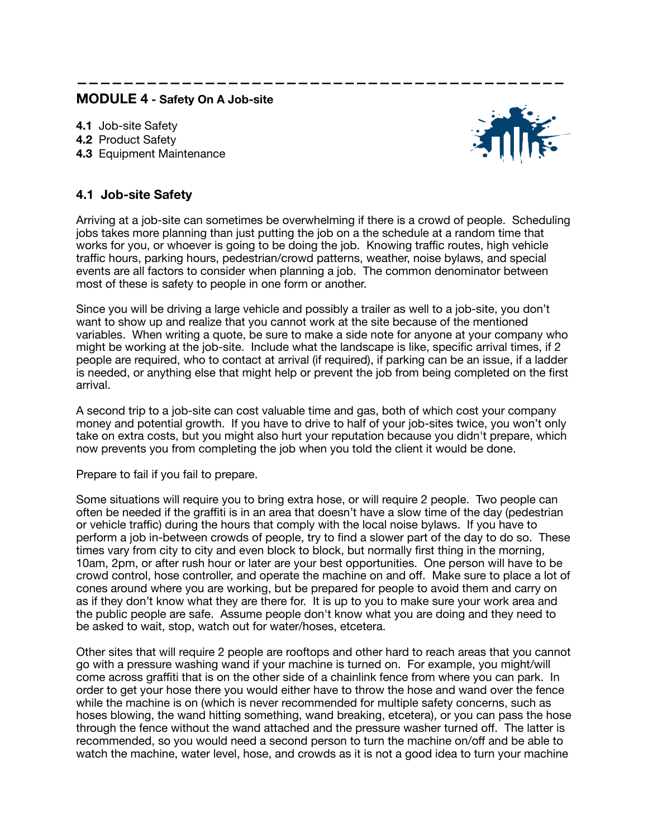## **MODULE 4 - Safety On A Job-site**

**4.1** Job-site Safety

- **4.2** Product Safety
- **4.3** Equipment Maintenance

# **4.1 Job-site Safety**

Arriving at a job-site can sometimes be overwhelming if there is a crowd of people. Scheduling jobs takes more planning than just putting the job on a the schedule at a random time that works for you, or whoever is going to be doing the job. Knowing traffic routes, high vehicle traffic hours, parking hours, pedestrian/crowd patterns, weather, noise bylaws, and special events are all factors to consider when planning a job. The common denominator between most of these is safety to people in one form or another.

**——————————————————————————————————————————**

Since you will be driving a large vehicle and possibly a trailer as well to a job-site, you don't want to show up and realize that you cannot work at the site because of the mentioned variables. When writing a quote, be sure to make a side note for anyone at your company who might be working at the job-site. Include what the landscape is like, specific arrival times, if 2 people are required, who to contact at arrival (if required), if parking can be an issue, if a ladder is needed, or anything else that might help or prevent the job from being completed on the first arrival.

A second trip to a job-site can cost valuable time and gas, both of which cost your company money and potential growth. If you have to drive to half of your job-sites twice, you won't only take on extra costs, but you might also hurt your reputation because you didn't prepare, which now prevents you from completing the job when you told the client it would be done.

Prepare to fail if you fail to prepare.

Some situations will require you to bring extra hose, or will require 2 people. Two people can often be needed if the graffiti is in an area that doesn't have a slow time of the day (pedestrian or vehicle traffic) during the hours that comply with the local noise bylaws. If you have to perform a job in-between crowds of people, try to find a slower part of the day to do so. These times vary from city to city and even block to block, but normally first thing in the morning, 10am, 2pm, or after rush hour or later are your best opportunities. One person will have to be crowd control, hose controller, and operate the machine on and off. Make sure to place a lot of cones around where you are working, but be prepared for people to avoid them and carry on as if they don't know what they are there for. It is up to you to make sure your work area and the public people are safe. Assume people don't know what you are doing and they need to be asked to wait, stop, watch out for water/hoses, etcetera.

Other sites that will require 2 people are rooftops and other hard to reach areas that you cannot go with a pressure washing wand if your machine is turned on. For example, you might/will come across graffiti that is on the other side of a chainlink fence from where you can park. In order to get your hose there you would either have to throw the hose and wand over the fence while the machine is on (which is never recommended for multiple safety concerns, such as hoses blowing, the wand hitting something, wand breaking, etcetera), or you can pass the hose through the fence without the wand attached and the pressure washer turned off. The latter is recommended, so you would need a second person to turn the machine on/off and be able to watch the machine, water level, hose, and crowds as it is not a good idea to turn your machine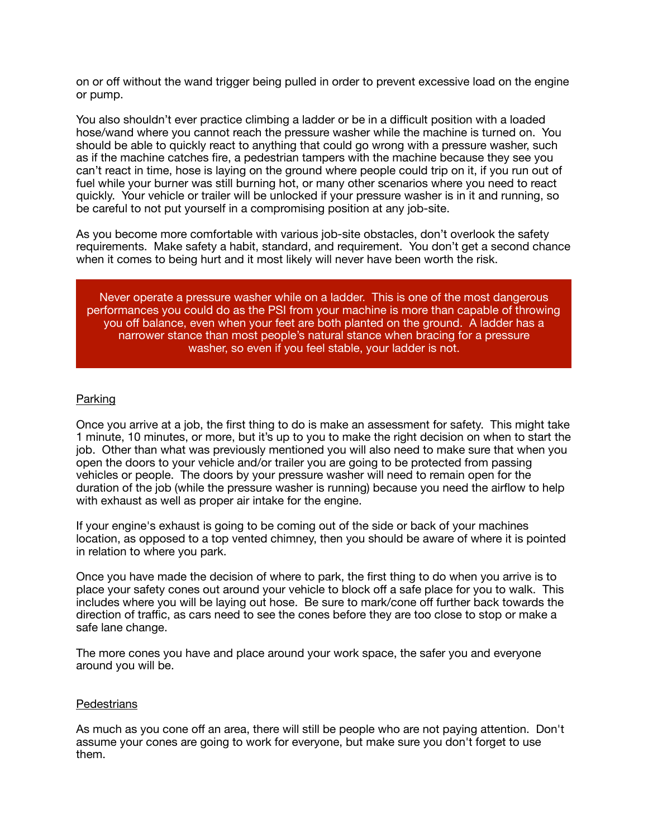on or off without the wand trigger being pulled in order to prevent excessive load on the engine or pump.

You also shouldn't ever practice climbing a ladder or be in a difficult position with a loaded hose/wand where you cannot reach the pressure washer while the machine is turned on. You should be able to quickly react to anything that could go wrong with a pressure washer, such as if the machine catches fire, a pedestrian tampers with the machine because they see you can't react in time, hose is laying on the ground where people could trip on it, if you run out of fuel while your burner was still burning hot, or many other scenarios where you need to react quickly. Your vehicle or trailer will be unlocked if your pressure washer is in it and running, so be careful to not put yourself in a compromising position at any job-site.

As you become more comfortable with various job-site obstacles, don't overlook the safety requirements. Make safety a habit, standard, and requirement. You don't get a second chance when it comes to being hurt and it most likely will never have been worth the risk.

Never operate a pressure washer while on a ladder. This is one of the most dangerous performances you could do as the PSI from your machine is more than capable of throwing you off balance, even when your feet are both planted on the ground. A ladder has a narrower stance than most people's natural stance when bracing for a pressure washer, so even if you feel stable, your ladder is not.

## Parking

Once you arrive at a job, the first thing to do is make an assessment for safety. This might take 1 minute, 10 minutes, or more, but it's up to you to make the right decision on when to start the job. Other than what was previously mentioned you will also need to make sure that when you open the doors to your vehicle and/or trailer you are going to be protected from passing vehicles or people. The doors by your pressure washer will need to remain open for the duration of the job (while the pressure washer is running) because you need the airflow to help with exhaust as well as proper air intake for the engine.

If your engine's exhaust is going to be coming out of the side or back of your machines location, as opposed to a top vented chimney, then you should be aware of where it is pointed in relation to where you park.

Once you have made the decision of where to park, the first thing to do when you arrive is to place your safety cones out around your vehicle to block off a safe place for you to walk. This includes where you will be laying out hose. Be sure to mark/cone off further back towards the direction of traffic, as cars need to see the cones before they are too close to stop or make a safe lane change.

The more cones you have and place around your work space, the safer you and everyone around you will be.

## **Pedestrians**

As much as you cone off an area, there will still be people who are not paying attention. Don't assume your cones are going to work for everyone, but make sure you don't forget to use them.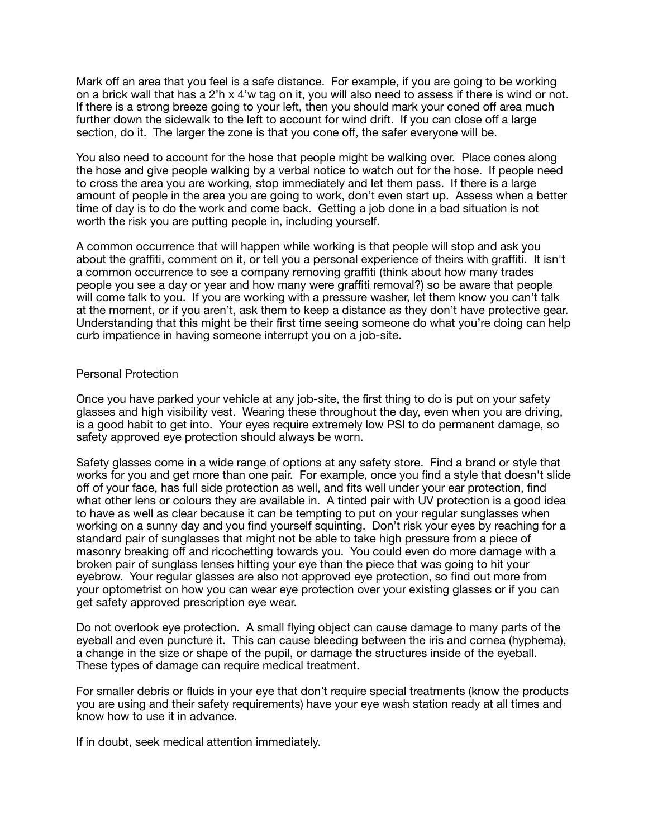Mark off an area that you feel is a safe distance. For example, if you are going to be working on a brick wall that has a 2'h x 4'w tag on it, you will also need to assess if there is wind or not. If there is a strong breeze going to your left, then you should mark your coned off area much further down the sidewalk to the left to account for wind drift. If you can close off a large section, do it. The larger the zone is that you cone off, the safer everyone will be.

You also need to account for the hose that people might be walking over. Place cones along the hose and give people walking by a verbal notice to watch out for the hose. If people need to cross the area you are working, stop immediately and let them pass. If there is a large amount of people in the area you are going to work, don't even start up. Assess when a better time of day is to do the work and come back. Getting a job done in a bad situation is not worth the risk you are putting people in, including yourself.

A common occurrence that will happen while working is that people will stop and ask you about the graffiti, comment on it, or tell you a personal experience of theirs with graffiti. It isn't a common occurrence to see a company removing graffiti (think about how many trades people you see a day or year and how many were graffiti removal?) so be aware that people will come talk to you. If you are working with a pressure washer, let them know you can't talk at the moment, or if you aren't, ask them to keep a distance as they don't have protective gear. Understanding that this might be their first time seeing someone do what you're doing can help curb impatience in having someone interrupt you on a job-site.

## Personal Protection

Once you have parked your vehicle at any job-site, the first thing to do is put on your safety glasses and high visibility vest. Wearing these throughout the day, even when you are driving, is a good habit to get into. Your eyes require extremely low PSI to do permanent damage, so safety approved eye protection should always be worn.

Safety glasses come in a wide range of options at any safety store. Find a brand or style that works for you and get more than one pair. For example, once you find a style that doesn't slide off of your face, has full side protection as well, and fits well under your ear protection, find what other lens or colours they are available in. A tinted pair with UV protection is a good idea to have as well as clear because it can be tempting to put on your regular sunglasses when working on a sunny day and you find yourself squinting. Don't risk your eyes by reaching for a standard pair of sunglasses that might not be able to take high pressure from a piece of masonry breaking off and ricochetting towards you. You could even do more damage with a broken pair of sunglass lenses hitting your eye than the piece that was going to hit your eyebrow. Your regular glasses are also not approved eye protection, so find out more from your optometrist on how you can wear eye protection over your existing glasses or if you can get safety approved prescription eye wear.

Do not overlook eye protection. A small flying object can cause damage to many parts of the eyeball and even puncture it. This can cause bleeding between the iris and cornea (hyphema), a change in the size or shape of the pupil, or damage the structures inside of the eyeball. These types of damage can require medical treatment.

For smaller debris or fluids in your eye that don't require special treatments (know the products you are using and their safety requirements) have your eye wash station ready at all times and know how to use it in advance.

If in doubt, seek medical attention immediately.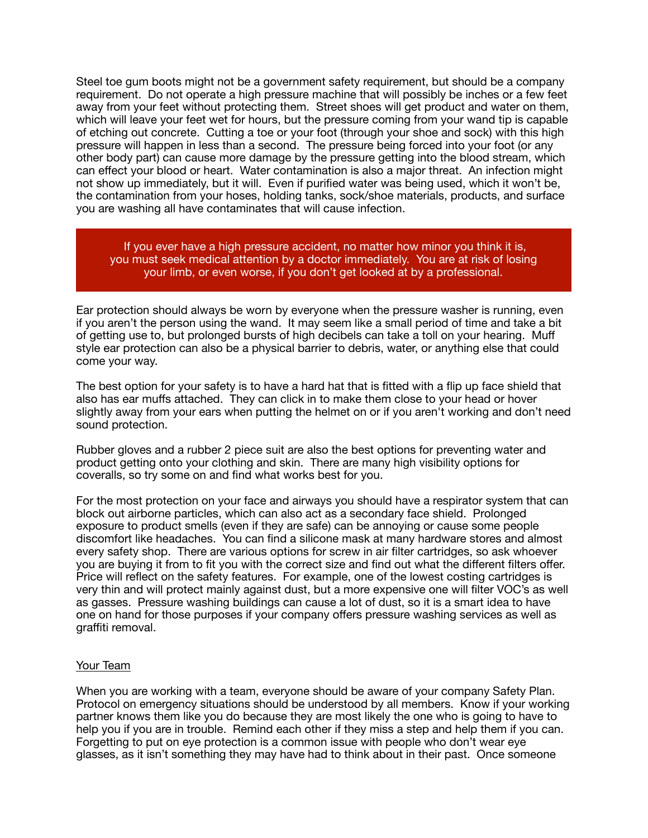Steel toe gum boots might not be a government safety requirement, but should be a company requirement. Do not operate a high pressure machine that will possibly be inches or a few feet away from your feet without protecting them. Street shoes will get product and water on them, which will leave your feet wet for hours, but the pressure coming from your wand tip is capable of etching out concrete. Cutting a toe or your foot (through your shoe and sock) with this high pressure will happen in less than a second. The pressure being forced into your foot (or any other body part) can cause more damage by the pressure getting into the blood stream, which can effect your blood or heart. Water contamination is also a major threat. An infection might not show up immediately, but it will. Even if purified water was being used, which it won't be, the contamination from your hoses, holding tanks, sock/shoe materials, products, and surface you are washing all have contaminates that will cause infection.

## If you ever have a high pressure accident, no matter how minor you think it is, you must seek medical attention by a doctor immediately. You are at risk of losing your limb, or even worse, if you don't get looked at by a professional.

Ear protection should always be worn by everyone when the pressure washer is running, even if you aren't the person using the wand. It may seem like a small period of time and take a bit of getting use to, but prolonged bursts of high decibels can take a toll on your hearing. Muff style ear protection can also be a physical barrier to debris, water, or anything else that could come your way.

The best option for your safety is to have a hard hat that is fitted with a flip up face shield that also has ear muffs attached. They can click in to make them close to your head or hover slightly away from your ears when putting the helmet on or if you aren't working and don't need sound protection.

Rubber gloves and a rubber 2 piece suit are also the best options for preventing water and product getting onto your clothing and skin. There are many high visibility options for coveralls, so try some on and find what works best for you.

For the most protection on your face and airways you should have a respirator system that can block out airborne particles, which can also act as a secondary face shield. Prolonged exposure to product smells (even if they are safe) can be annoying or cause some people discomfort like headaches. You can find a silicone mask at many hardware stores and almost every safety shop. There are various options for screw in air filter cartridges, so ask whoever you are buying it from to fit you with the correct size and find out what the different filters offer. Price will reflect on the safety features. For example, one of the lowest costing cartridges is very thin and will protect mainly against dust, but a more expensive one will filter VOC's as well as gasses. Pressure washing buildings can cause a lot of dust, so it is a smart idea to have one on hand for those purposes if your company offers pressure washing services as well as graffiti removal.

## Your Team

When you are working with a team, everyone should be aware of your company Safety Plan. Protocol on emergency situations should be understood by all members. Know if your working partner knows them like you do because they are most likely the one who is going to have to help you if you are in trouble. Remind each other if they miss a step and help them if you can. Forgetting to put on eye protection is a common issue with people who don't wear eye glasses, as it isn't something they may have had to think about in their past. Once someone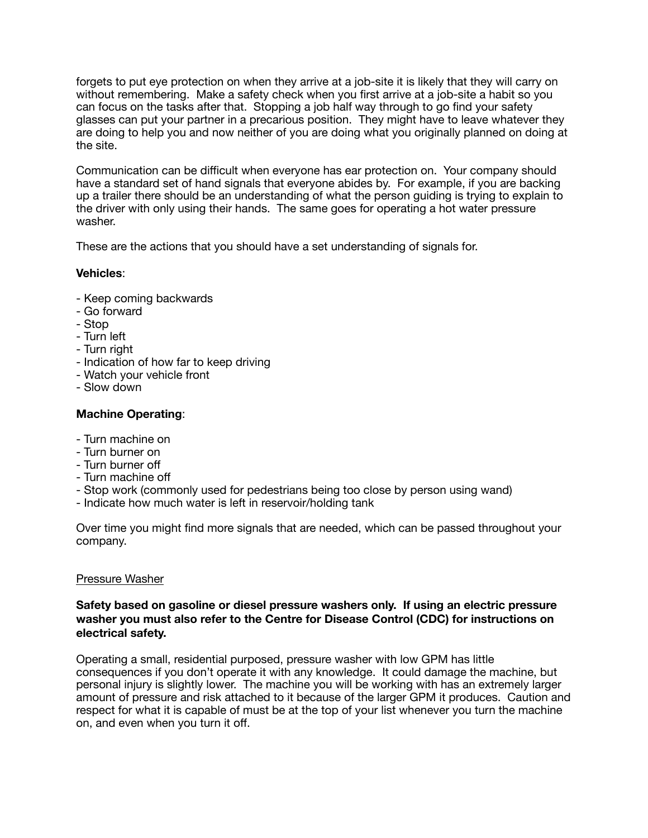forgets to put eye protection on when they arrive at a job-site it is likely that they will carry on without remembering. Make a safety check when you first arrive at a job-site a habit so you can focus on the tasks after that. Stopping a job half way through to go find your safety glasses can put your partner in a precarious position. They might have to leave whatever they are doing to help you and now neither of you are doing what you originally planned on doing at the site.

Communication can be difficult when everyone has ear protection on. Your company should have a standard set of hand signals that everyone abides by. For example, if you are backing up a trailer there should be an understanding of what the person guiding is trying to explain to the driver with only using their hands. The same goes for operating a hot water pressure washer.

These are the actions that you should have a set understanding of signals for.

## **Vehicles**:

- Keep coming backwards
- Go forward
- Stop
- Turn left
- Turn right
- Indication of how far to keep driving
- Watch your vehicle front
- Slow down

## **Machine Operating**:

- Turn machine on
- Turn burner on
- Turn burner off
- Turn machine off
- Stop work (commonly used for pedestrians being too close by person using wand)
- Indicate how much water is left in reservoir/holding tank

Over time you might find more signals that are needed, which can be passed throughout your company.

## Pressure Washer

## **Safety based on gasoline or diesel pressure washers only. If using an electric pressure washer you must also refer to the Centre for Disease Control (CDC) for instructions on electrical safety.**

Operating a small, residential purposed, pressure washer with low GPM has little consequences if you don't operate it with any knowledge. It could damage the machine, but personal injury is slightly lower. The machine you will be working with has an extremely larger amount of pressure and risk attached to it because of the larger GPM it produces. Caution and respect for what it is capable of must be at the top of your list whenever you turn the machine on, and even when you turn it off.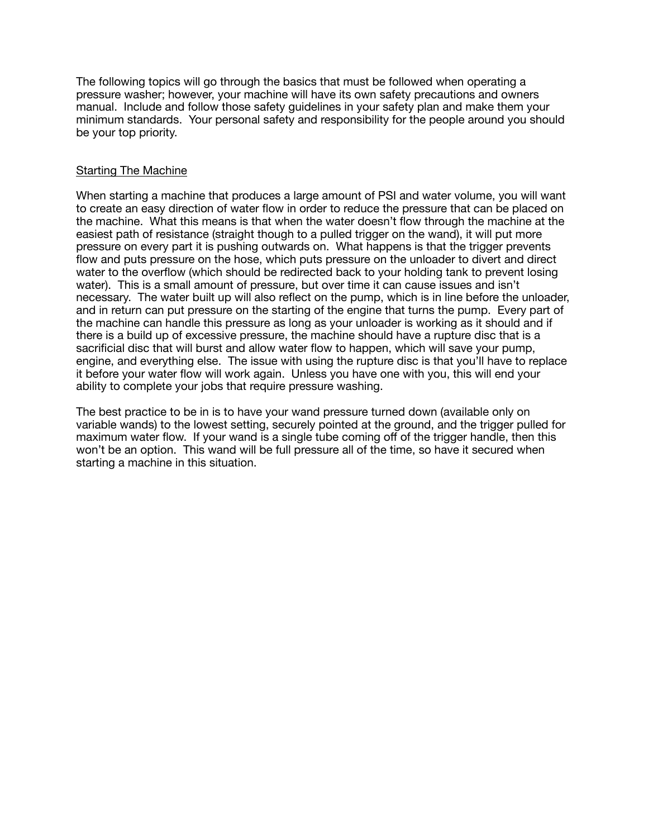The following topics will go through the basics that must be followed when operating a pressure washer; however, your machine will have its own safety precautions and owners manual. Include and follow those safety guidelines in your safety plan and make them your minimum standards. Your personal safety and responsibility for the people around you should be your top priority.

## Starting The Machine

When starting a machine that produces a large amount of PSI and water volume, you will want to create an easy direction of water flow in order to reduce the pressure that can be placed on the machine. What this means is that when the water doesn't flow through the machine at the easiest path of resistance (straight though to a pulled trigger on the wand), it will put more pressure on every part it is pushing outwards on. What happens is that the trigger prevents flow and puts pressure on the hose, which puts pressure on the unloader to divert and direct water to the overflow (which should be redirected back to your holding tank to prevent losing water). This is a small amount of pressure, but over time it can cause issues and isn't necessary. The water built up will also reflect on the pump, which is in line before the unloader, and in return can put pressure on the starting of the engine that turns the pump. Every part of the machine can handle this pressure as long as your unloader is working as it should and if there is a build up of excessive pressure, the machine should have a rupture disc that is a sacrificial disc that will burst and allow water flow to happen, which will save your pump, engine, and everything else. The issue with using the rupture disc is that you'll have to replace it before your water flow will work again. Unless you have one with you, this will end your ability to complete your jobs that require pressure washing.

The best practice to be in is to have your wand pressure turned down (available only on variable wands) to the lowest setting, securely pointed at the ground, and the trigger pulled for maximum water flow. If your wand is a single tube coming off of the trigger handle, then this won't be an option. This wand will be full pressure all of the time, so have it secured when starting a machine in this situation.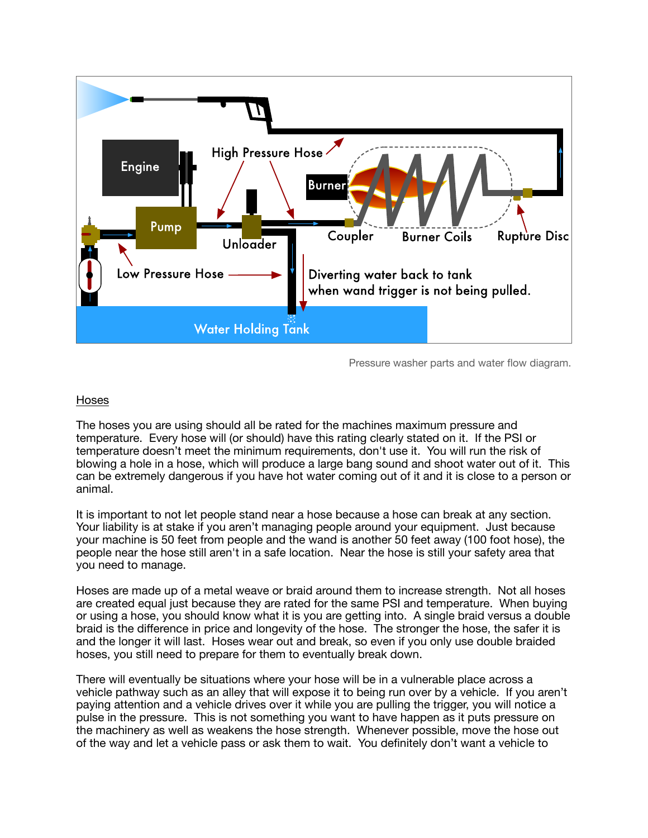

Pressure washer parts and water flow diagram.

## Hoses

The hoses you are using should all be rated for the machines maximum pressure and temperature. Every hose will (or should) have this rating clearly stated on it. If the PSI or temperature doesn't meet the minimum requirements, don't use it. You will run the risk of blowing a hole in a hose, which will produce a large bang sound and shoot water out of it. This can be extremely dangerous if you have hot water coming out of it and it is close to a person or animal.

It is important to not let people stand near a hose because a hose can break at any section. Your liability is at stake if you aren't managing people around your equipment. Just because your machine is 50 feet from people and the wand is another 50 feet away (100 foot hose), the people near the hose still aren't in a safe location. Near the hose is still your safety area that you need to manage.

Hoses are made up of a metal weave or braid around them to increase strength. Not all hoses are created equal just because they are rated for the same PSI and temperature. When buying or using a hose, you should know what it is you are getting into. A single braid versus a double braid is the difference in price and longevity of the hose. The stronger the hose, the safer it is and the longer it will last. Hoses wear out and break, so even if you only use double braided hoses, you still need to prepare for them to eventually break down.

There will eventually be situations where your hose will be in a vulnerable place across a vehicle pathway such as an alley that will expose it to being run over by a vehicle. If you aren't paying attention and a vehicle drives over it while you are pulling the trigger, you will notice a pulse in the pressure. This is not something you want to have happen as it puts pressure on the machinery as well as weakens the hose strength. Whenever possible, move the hose out of the way and let a vehicle pass or ask them to wait. You definitely don't want a vehicle to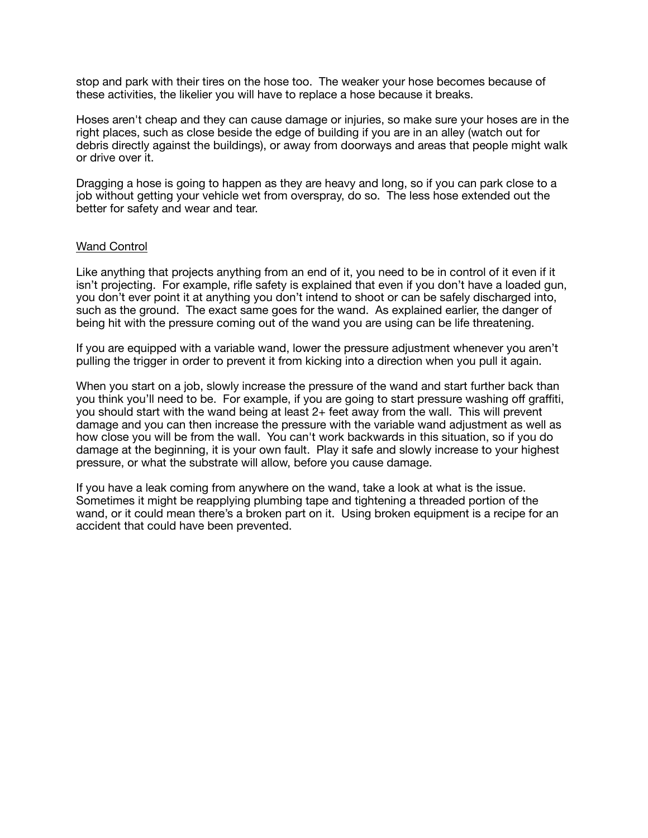stop and park with their tires on the hose too. The weaker your hose becomes because of these activities, the likelier you will have to replace a hose because it breaks.

Hoses aren't cheap and they can cause damage or injuries, so make sure your hoses are in the right places, such as close beside the edge of building if you are in an alley (watch out for debris directly against the buildings), or away from doorways and areas that people might walk or drive over it.

Dragging a hose is going to happen as they are heavy and long, so if you can park close to a job without getting your vehicle wet from overspray, do so. The less hose extended out the better for safety and wear and tear.

#### Wand Control

Like anything that projects anything from an end of it, you need to be in control of it even if it isn't projecting. For example, rifle safety is explained that even if you don't have a loaded gun, you don't ever point it at anything you don't intend to shoot or can be safely discharged into, such as the ground. The exact same goes for the wand. As explained earlier, the danger of being hit with the pressure coming out of the wand you are using can be life threatening.

If you are equipped with a variable wand, lower the pressure adjustment whenever you aren't pulling the trigger in order to prevent it from kicking into a direction when you pull it again.

When you start on a job, slowly increase the pressure of the wand and start further back than you think you'll need to be. For example, if you are going to start pressure washing off graffiti, you should start with the wand being at least 2+ feet away from the wall. This will prevent damage and you can then increase the pressure with the variable wand adjustment as well as how close you will be from the wall. You can't work backwards in this situation, so if you do damage at the beginning, it is your own fault. Play it safe and slowly increase to your highest pressure, or what the substrate will allow, before you cause damage.

If you have a leak coming from anywhere on the wand, take a look at what is the issue. Sometimes it might be reapplying plumbing tape and tightening a threaded portion of the wand, or it could mean there's a broken part on it. Using broken equipment is a recipe for an accident that could have been prevented.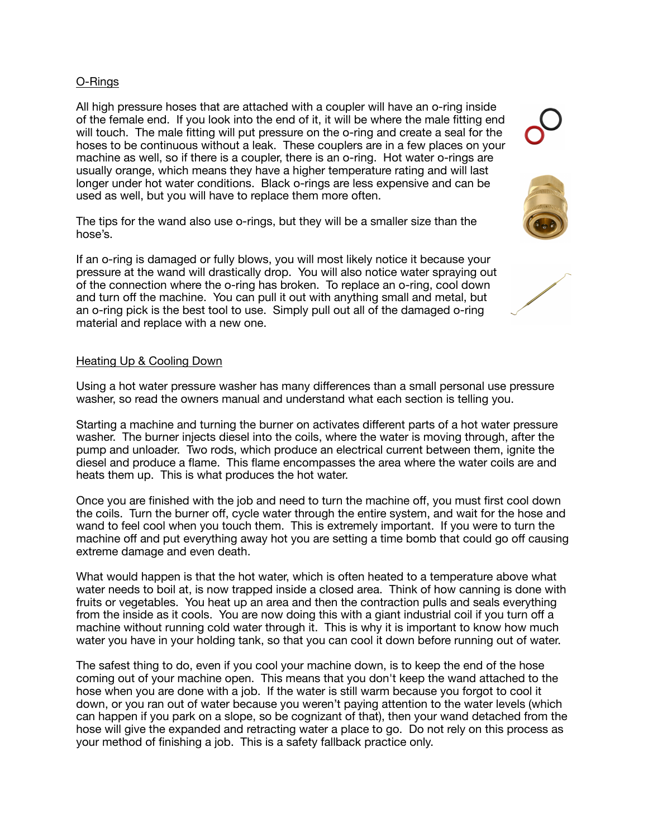## O-Rings

All high pressure hoses that are attached with a coupler will have an o-ring inside of the female end. If you look into the end of it, it will be where the male fitting end will touch. The male fitting will put pressure on the o-ring and create a seal for the hoses to be continuous without a leak. These couplers are in a few places on your machine as well, so if there is a coupler, there is an o-ring. Hot water o-rings are usually orange, which means they have a higher temperature rating and will last longer under hot water conditions. Black o-rings are less expensive and can be used as well, but you will have to replace them more often.

The tips for the wand also use o-rings, but they will be a smaller size than the hose's.

If an o-ring is damaged or fully blows, you will most likely notice it because your pressure at the wand will drastically drop. You will also notice water spraying out of the connection where the o-ring has broken. To replace an o-ring, cool down and turn off the machine. You can pull it out with anything small and metal, but an o-ring pick is the best tool to use. Simply pull out all of the damaged o-ring material and replace with a new one.

## Heating Up & Cooling Down

Using a hot water pressure washer has many differences than a small personal use pressure washer, so read the owners manual and understand what each section is telling you.

Starting a machine and turning the burner on activates different parts of a hot water pressure washer. The burner injects diesel into the coils, where the water is moving through, after the pump and unloader. Two rods, which produce an electrical current between them, ignite the diesel and produce a flame. This flame encompasses the area where the water coils are and heats them up. This is what produces the hot water.

Once you are finished with the job and need to turn the machine off, you must first cool down the coils. Turn the burner off, cycle water through the entire system, and wait for the hose and wand to feel cool when you touch them. This is extremely important. If you were to turn the machine off and put everything away hot you are setting a time bomb that could go off causing extreme damage and even death.

What would happen is that the hot water, which is often heated to a temperature above what water needs to boil at, is now trapped inside a closed area. Think of how canning is done with fruits or vegetables. You heat up an area and then the contraction pulls and seals everything from the inside as it cools. You are now doing this with a giant industrial coil if you turn off a machine without running cold water through it. This is why it is important to know how much water you have in your holding tank, so that you can cool it down before running out of water.

The safest thing to do, even if you cool your machine down, is to keep the end of the hose coming out of your machine open. This means that you don't keep the wand attached to the hose when you are done with a job. If the water is still warm because you forgot to cool it down, or you ran out of water because you weren't paying attention to the water levels (which can happen if you park on a slope, so be cognizant of that), then your wand detached from the hose will give the expanded and retracting water a place to go. Do not rely on this process as your method of finishing a job. This is a safety fallback practice only.